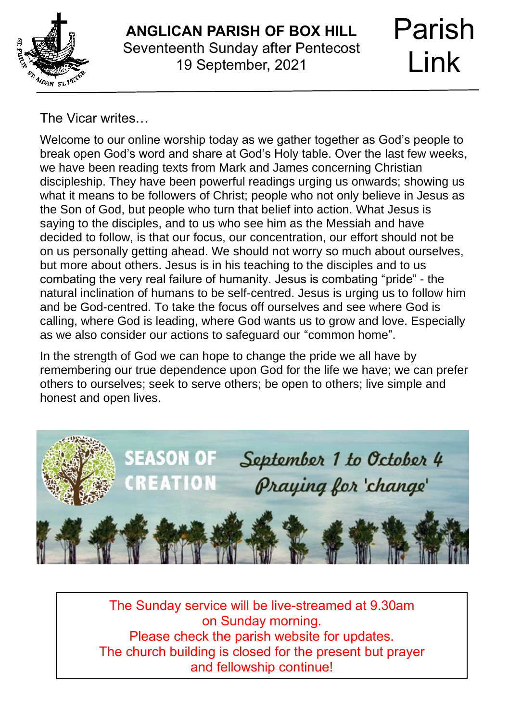

## **ANGLICAN PARISH OF BOX HILL** Seventeenth Sunday after Pentecost 19 September, 2021

# Parish Link

The Vicar writes…

Welcome to our online worship today as we gather together as God's people to break open God's word and share at God's Holy table. Over the last few weeks, we have been reading texts from Mark and James concerning Christian discipleship. They have been powerful readings urging us onwards; showing us what it means to be followers of Christ; people who not only believe in Jesus as the Son of God, but people who turn that belief into action. What Jesus is saying to the disciples, and to us who see him as the Messiah and have decided to follow, is that our focus, our concentration, our effort should not be on us personally getting ahead. We should not worry so much about ourselves, but more about others. Jesus is in his teaching to the disciples and to us combating the very real failure of humanity. Jesus is combating "pride" - the natural inclination of humans to be self-centred. Jesus is urging us to follow him and be God-centred. To take the focus off ourselves and see where God is calling, where God is leading, where God wants us to grow and love. Especially as we also consider our actions to safeguard our "common home".

In the strength of God we can hope to change the pride we all have by remembering our true dependence upon God for the life we have; we can prefer others to ourselves; seek to serve others; be open to others; live simple and honest and open lives.



The Sunday service will be live-streamed at 9.30am on Sunday morning. Please check the parish website for updates. The church building is closed for the present but prayer and fellowship continue!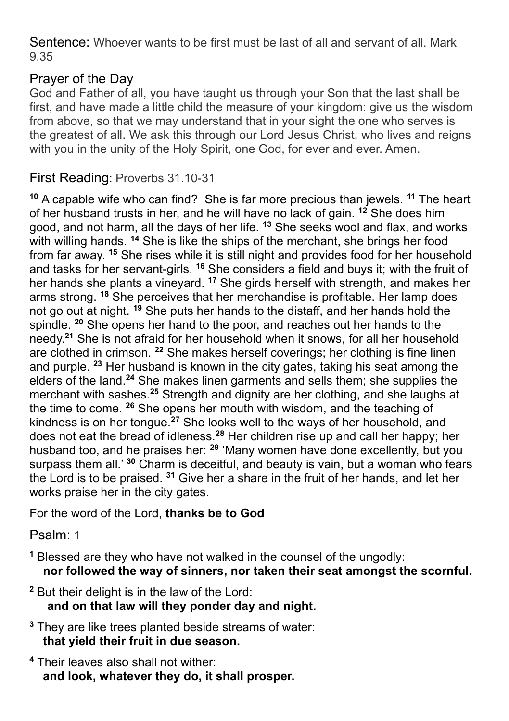Sentence: Whoever wants to be first must be last of all and servant of all. Mark 9.35

## Prayer of the Day

God and Father of all, you have taught us through your Son that the last shall be first, and have made a little child the measure of your kingdom: give us the wisdom from above, so that we may understand that in your sight the one who serves is the greatest of all. We ask this through our Lord Jesus Christ, who lives and reigns with you in the unity of the Holy Spirit, one God, for ever and ever. Amen.

#### First Reading: Proverbs 31.10-31

**<sup>10</sup>** A capable wife who can find? She is far more precious than jewels. **<sup>11</sup>** The heart of her husband trusts in her, and he will have no lack of gain. **<sup>12</sup>** She does him good, and not harm, all the days of her life. **<sup>13</sup>** She seeks wool and flax, and works with willing hands. <sup>14</sup> She is like the ships of the merchant, she brings her food from far away. **<sup>15</sup>** She rises while it is still night and provides food for her household and tasks for her servant-girls. **<sup>16</sup>** She considers a field and buys it; with the fruit of her hands she plants a vineyard. **<sup>17</sup>** She girds herself with strength, and makes her arms strong. **<sup>18</sup>** She perceives that her merchandise is profitable. Her lamp does not go out at night. **<sup>19</sup>** She puts her hands to the distaff, and her hands hold the spindle. **<sup>20</sup>** She opens her hand to the poor, and reaches out her hands to the needy.**<sup>21</sup>** She is not afraid for her household when it snows, for all her household are clothed in crimson. **<sup>22</sup>** She makes herself coverings; her clothing is fine linen and purple. **<sup>23</sup>** Her husband is known in the city gates, taking his seat among the elders of the land.**<sup>24</sup>** She makes linen garments and sells them; she supplies the merchant with sashes.**<sup>25</sup>** Strength and dignity are her clothing, and she laughs at the time to come. **<sup>26</sup>** She opens her mouth with wisdom, and the teaching of kindness is on her tongue.**<sup>27</sup>** She looks well to the ways of her household, and does not eat the bread of idleness.**<sup>28</sup>** Her children rise up and call her happy; her husband too, and he praises her: **<sup>29</sup>** 'Many women have done excellently, but you surpass them all.' **<sup>30</sup>** Charm is deceitful, and beauty is vain, but a woman who fears the Lord is to be praised. **<sup>31</sup>** Give her a share in the fruit of her hands, and let her works praise her in the city gates.

## For the word of the Lord, **thanks be to God**

Psalm: 1

- **<sup>1</sup>** Blessed are they who have not walked in the counsel of the ungodly: **nor followed the way of sinners, nor taken their seat amongst the scornful.**
- **<sup>2</sup>** But their delight is in the law of the Lord:  **and on that law will they ponder day and night.**
- **<sup>3</sup>** They are like trees planted beside streams of water:  **that yield their fruit in due season.**
- **<sup>4</sup>** Their leaves also shall not wither:  **and look, whatever they do, it shall prosper.**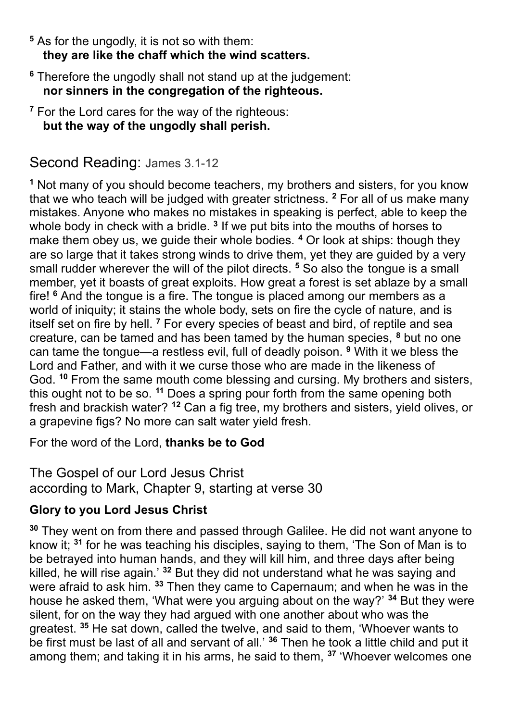- **<sup>5</sup>** As for the ungodly, it is not so with them: **they are like the chaff which the wind scatters.**
- **<sup>6</sup>** Therefore the ungodly shall not stand up at the judgement:  **nor sinners in the congregation of the righteous.**
- **<sup>7</sup>** For the Lord cares for the way of the righteous:  **but the way of the ungodly shall perish.**

## Second Reading: James 3.1-12

**<sup>1</sup>** Not many of you should become teachers, my brothers and sisters, for you know that we who teach will be judged with greater strictness. **<sup>2</sup>** For all of us make many mistakes. Anyone who makes no mistakes in speaking is perfect, able to keep the whole body in check with a bridle. **<sup>3</sup>** If we put bits into the mouths of horses to make them obey us, we guide their whole bodies. **<sup>4</sup>** Or look at ships: though they are so large that it takes strong winds to drive them, yet they are guided by a very small rudder wherever the will of the pilot directs. **<sup>5</sup>** So also the tongue is a small member, yet it boasts of great exploits. How great a forest is set ablaze by a small fire! **<sup>6</sup>** And the tongue is a fire. The tongue is placed among our members as a world of iniquity; it stains the whole body, sets on fire the cycle of nature, and is itself set on fire by hell. **<sup>7</sup>** For every species of beast and bird, of reptile and sea creature, can be tamed and has been tamed by the human species, **<sup>8</sup>** but no one can tame the tongue—a restless evil, full of deadly poison. **<sup>9</sup>** With it we bless the Lord and Father, and with it we curse those who are made in the likeness of God. **<sup>10</sup>** From the same mouth come blessing and cursing. My brothers and sisters, this ought not to be so. **<sup>11</sup>** Does a spring pour forth from the same opening both fresh and brackish water? **<sup>12</sup>** Can a fig tree, my brothers and sisters, yield olives, or a grapevine figs? No more can salt water yield fresh.

For the word of the Lord, **thanks be to God**

The Gospel of our Lord Jesus Christ according to Mark, Chapter 9, starting at verse 30

## **Glory to you Lord Jesus Christ**

**<sup>30</sup>** They went on from there and passed through Galilee. He did not want anyone to know it; **<sup>31</sup>** for he was teaching his disciples, saying to them, 'The Son of Man is to be betrayed into human hands, and they will kill him, and three days after being killed, he will rise again.' **<sup>32</sup>** But they did not understand what he was saying and were afraid to ask him. **<sup>33</sup>** Then they came to Capernaum; and when he was in the house he asked them, 'What were you arguing about on the way?' **<sup>34</sup>** But they were silent, for on the way they had argued with one another about who was the greatest. **<sup>35</sup>** He sat down, called the twelve, and said to them, 'Whoever wants to be first must be last of all and servant of all.' **<sup>36</sup>** Then he took a little child and put it among them; and taking it in his arms, he said to them, **<sup>37</sup>** 'Whoever welcomes one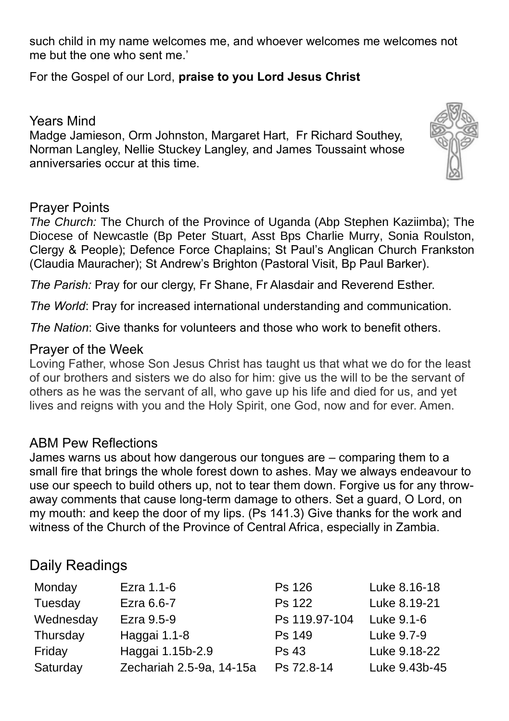such child in my name welcomes me, and whoever welcomes me welcomes not me but the one who sent me.'

For the Gospel of our Lord, **praise to you Lord Jesus Christ**

#### Years Mind

Madge Jamieson, Orm Johnston, Margaret Hart, Fr Richard Southey, Norman Langley, Nellie Stuckey Langley, and James Toussaint whose anniversaries occur at this time.

#### Prayer Points

*The Church:* The Church of the Province of Uganda (Abp Stephen Kaziimba); The Diocese of Newcastle (Bp Peter Stuart, Asst Bps Charlie Murry, Sonia Roulston, Clergy & People); Defence Force Chaplains; St Paul's Anglican Church Frankston (Claudia Mauracher); St Andrew's Brighton (Pastoral Visit, Bp Paul Barker).

*The Parish:* Pray for our clergy, Fr Shane, Fr Alasdair and Reverend Esther.

*The World*: Pray for increased international understanding and communication.

*The Nation*: Give thanks for volunteers and those who work to benefit others.

#### Prayer of the Week

Loving Father, whose Son Jesus Christ has taught us that what we do for the least of our brothers and sisters we do also for him: give us the will to be the servant of others as he was the servant of all, who gave up his life and died for us, and yet lives and reigns with you and the Holy Spirit, one God, now and for ever. Amen.

#### ABM Pew Reflections

James warns us about how dangerous our tongues are – comparing them to a small fire that brings the whole forest down to ashes. May we always endeavour to use our speech to build others up, not to tear them down. Forgive us for any throwaway comments that cause long-term damage to others. Set a guard, O Lord, on my mouth: and keep the door of my lips. (Ps 141.3) Give thanks for the work and witness of the Church of the Province of Central Africa, especially in Zambia.

## Daily Readings

| Monday    | Ezra 1.1-6               | Ps 126        | Luke 8.16-18  |
|-----------|--------------------------|---------------|---------------|
| Tuesday   | Ezra 6.6-7               | Ps 122        | Luke 8.19-21  |
| Wednesday | Ezra 9.5-9               | Ps 119.97-104 | Luke 9.1-6    |
| Thursday  | Haggai 1.1-8             | Ps 149        | Luke 9.7-9    |
| Friday    | Haggai 1.15b-2.9         | Ps 43         | Luke 9.18-22  |
| Saturday  | Zechariah 2.5-9a, 14-15a | Ps 72.8-14    | Luke 9.43b-45 |

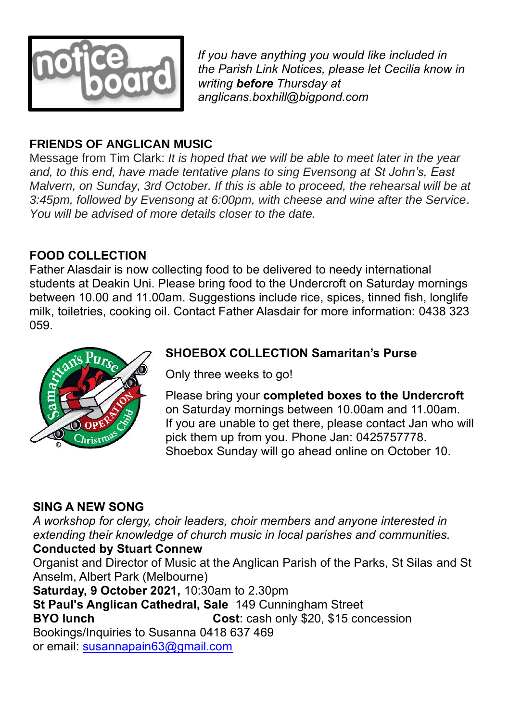

 *If you have anything you would like included in the Parish Link Notices, please let Cecilia know in writing before Thursday at anglicans.boxhill@bigpond.com*

## **FRIENDS OF ANGLICAN MUSIC**

Message from Tim Clark: *It is hoped that we will be able to meet later in the year and, to this end, have made tentative plans to sing Evensong at St John's, East Malvern, on Sunday, 3rd October. If this is able to proceed, the rehearsal will be at 3:45pm, followed by Evensong at 6:00pm, with cheese and wine after the Service*. *You will be advised of more details closer to the date.*

## **FOOD COLLECTION**

Father Alasdair is now collecting food to be delivered to needy international students at Deakin Uni. Please bring food to the Undercroft on Saturday mornings between 10.00 and 11.00am. Suggestions include rice, spices, tinned fish, longlife milk, toiletries, cooking oil. Contact Father Alasdair for more information: 0438 323 059.



## **SHOEBOX COLLECTION Samaritan's Purse**

Only three weeks to go!

Please bring your **completed boxes to the Undercroft** on Saturday mornings between 10.00am and 11.00am. If you are unable to get there, please contact Jan who will pick them up from you. Phone Jan: 0425757778. Shoebox Sunday will go ahead online on October 10.

## **SING A NEW SONG**

*A workshop for clergy, choir leaders, choir members and anyone interested in extending their knowledge of church music in local parishes and communities.* **Conducted by Stuart Connew**

Organist and Director of Music at the Anglican Parish of the Parks, St Silas and St Anselm, Albert Park (Melbourne)

**Saturday, 9 October 2021,** 10:30am to 2.30pm

**St Paul's Anglican Cathedral, Sale** 149 Cunningham Street

**BYO lunch Cost**: cash only \$20, \$15 concession Bookings/Inquiries to Susanna 0418 637 469

or email: [susannapain63@gmail.com](mailto:susannapain63@gmail.com)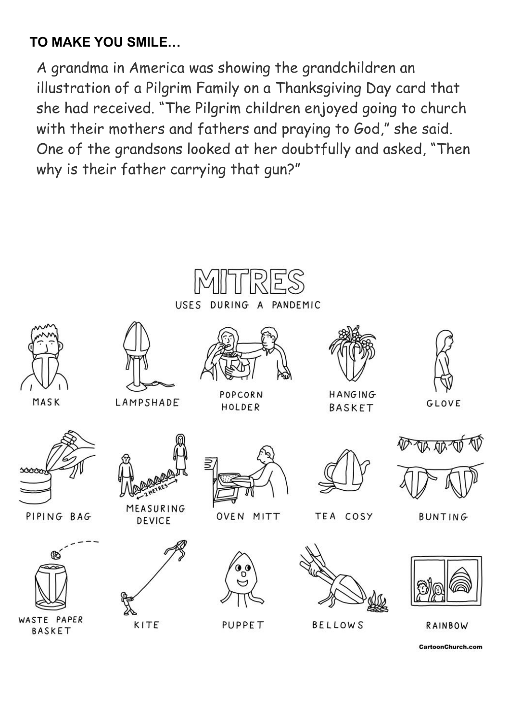# **TO MAKE YOU SMILE…**

A grandma in America was showing the grandchildren an illustration of a Pilgrim Family on a Thanksgiving Day card that she had received. "The Pilgrim children enjoyed going to church with their mothers and fathers and praying to God," she said. One of the grandsons looked at her doubtfully and asked, "Then why is their father carrying that gun?"



CartoonChurch.com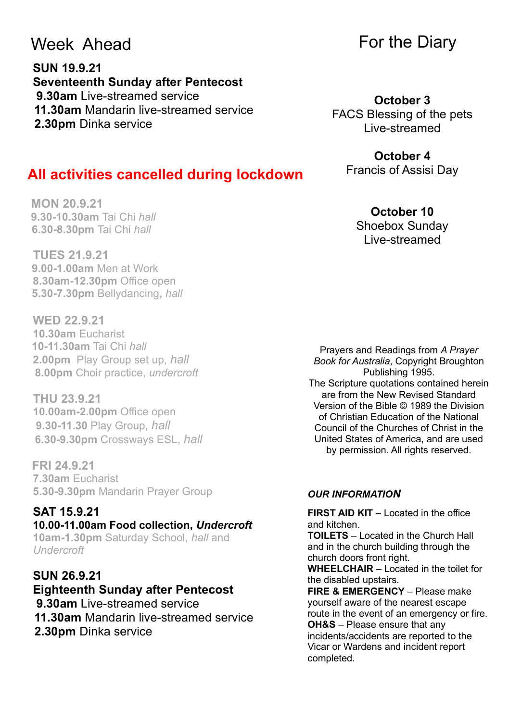# Week Ahead

**MON 20.9.21**

**SUN 19.9.21 Seventeenth Sunday after Pentecost 9.30am** Live-streamed service **11.30am** Mandarin live-streamed service  **2.30pm** Dinka service

 **All activities cancelled during lockdown**

# For the Diary

**October 3** FACS Blessing of the pets Live-streamed

#### **October 4** Francis of Assisi Day

#### **October 10** Shoebox Sunday Live-streamed

**TUES 21.9.21 9.00-1.00am** Men at Work **8.30am-12.30pm** Office open  **5.30-7.30pm** Bellydancing**,** *hall* 

 **9.30-10.30am** Tai Chi *hall*   **6.30-8.30pm** Tai Chi *hall* 

**WED 22.9.21 10.30am** Eucharist **10-11.30am** Tai Chi *hall* **2.00pm** Play Group set up, *hall*  **8.00pm** Choir practice, *undercroft* 

**THU 23.9.21 10.00am-2.00pm** Office open **9.30-11.30** Play Group, *hall*  **6.30-9.30pm** Crossways ESL, *hall* 

**FRI 24.9.21 7.30am** Eucharist **5.30-9.30pm** Mandarin Prayer Group

#### **SAT 15.9.21 10.00-11.00am Food collection,** *Undercroft* **10am-1.30pm** Saturday School, *hall* and *Undercroft*

**SUN 26.9.21 Eighteenth Sunday after Pentecost 9.30am** Live-streamed service **11.30am** Mandarin live-streamed service  **2.30pm** Dinka service

Prayers and Readings from *A Prayer Book for Australia*, Copyright Broughton Publishing 1995. The Scripture quotations contained herein are from the New Revised Standard Version of the Bible © 1989 the Division of Christian Education of the National Council of the Churches of Christ in the United States of America, and are used by permission. All rights reserved.

#### *OUR INFORMATION*

**FIRST AID KIT** – Located in the office and kitchen.

**TOILETS** – Located in the Church Hall and in the church building through the church doors front right.

**WHEELCHAIR** – Located in the toilet for the disabled upstairs.

**FIRE & EMERGENCY** – Please make yourself aware of the nearest escape route in the event of an emergency or fire. **OH&S** – Please ensure that any incidents/accidents are reported to the Vicar or Wardens and incident report completed.